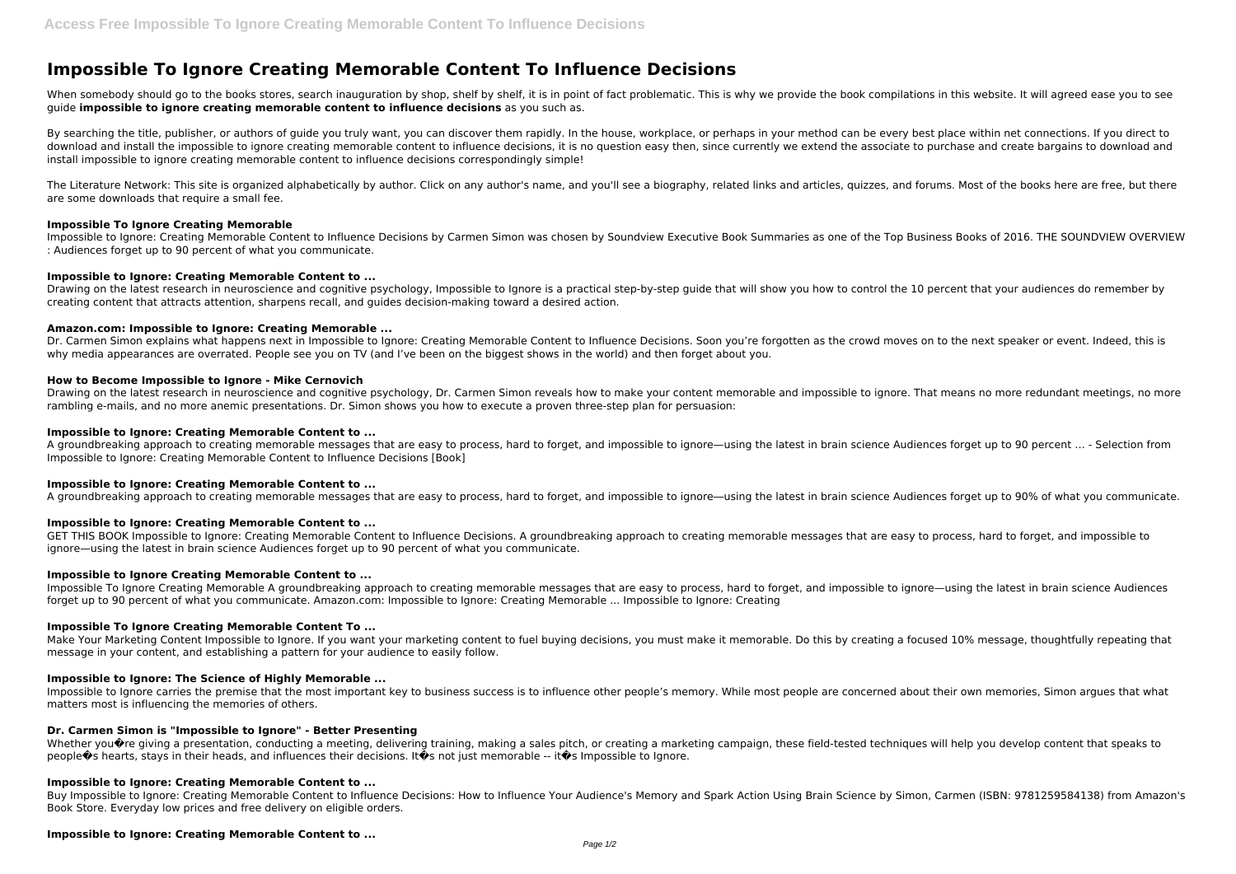# **Impossible To Ignore Creating Memorable Content To Influence Decisions**

When somebody should go to the books stores, search inauguration by shop, shelf by shelf, it is in point of fact problematic. This is why we provide the book compilations in this website. It will agreed ease you to see guide **impossible to ignore creating memorable content to influence decisions** as you such as.

By searching the title, publisher, or authors of quide you truly want, you can discover them rapidly. In the house, workplace, or perhaps in your method can be every best place within net connections. If you direct to download and install the impossible to ignore creating memorable content to influence decisions, it is no question easy then, since currently we extend the associate to purchase and create bargains to download and install impossible to ignore creating memorable content to influence decisions correspondingly simple!

The Literature Network: This site is organized alphabetically by author. Click on any author's name, and you'll see a biography, related links and articles, quizzes, and forums. Most of the books here are free, but there are some downloads that require a small fee.

## **Impossible To Ignore Creating Memorable**

Drawing on the latest research in neuroscience and cognitive psychology, Dr. Carmen Simon reveals how to make your content memorable and impossible to ignore. That means no more redundant meetings, no more rambling e-mails, and no more anemic presentations. Dr. Simon shows you how to execute a proven three-step plan for persuasion:

Impossible to Ignore: Creating Memorable Content to Influence Decisions by Carmen Simon was chosen by Soundview Executive Book Summaries as one of the Top Business Books of 2016. THE SOUNDVIEW OVERVIEW : Audiences forget up to 90 percent of what you communicate.

# **Impossible to Ignore: Creating Memorable Content to ...**

Drawing on the latest research in neuroscience and cognitive psychology, Impossible to Ignore is a practical step-by-step guide that will show you how to control the 10 percent that your audiences do remember by creating content that attracts attention, sharpens recall, and guides decision-making toward a desired action.

# **Amazon.com: Impossible to Ignore: Creating Memorable ...**

Dr. Carmen Simon explains what happens next in Impossible to Ignore: Creating Memorable Content to Influence Decisions. Soon you're forgotten as the crowd moves on to the next speaker or event. Indeed, this is why media appearances are overrated. People see you on TV (and I've been on the biggest shows in the world) and then forget about you.

Make Your Marketing Content Impossible to Ignore. If you want your marketing content to fuel buying decisions, you must make it memorable. Do this by creating a focused 10% message, thoughtfully repeating that message in your content, and establishing a pattern for your audience to easily follow.

# **How to Become Impossible to Ignore - Mike Cernovich**

Impossible to Ignore carries the premise that the most important key to business success is to influence other people's memory. While most people are concerned about their own memories, Simon argues that what matters most is influencing the memories of others.

## **Impossible to Ignore: Creating Memorable Content to ...**

A groundbreaking approach to creating memorable messages that are easy to process, hard to forget, and impossible to ignore—using the latest in brain science Audiences forget up to 90 percent … - Selection from Impossible to Ignore: Creating Memorable Content to Influence Decisions [Book]

## **Impossible to Ignore: Creating Memorable Content to ...**

A groundbreaking approach to creating memorable messages that are easy to process, hard to forget, and impossible to ignore―using the latest in brain science Audiences forget up to 90% of what you communicate.

## **Impossible to Ignore: Creating Memorable Content to ...**

GET THIS BOOK Impossible to Ignore: Creating Memorable Content to Influence Decisions. A groundbreaking approach to creating memorable messages that are easy to process, hard to forget, and impossible to ignore—using the latest in brain science Audiences forget up to 90 percent of what you communicate.

# **Impossible to Ignore Creating Memorable Content to ...**

Impossible To Ignore Creating Memorable A groundbreaking approach to creating memorable messages that are easy to process, hard to forget, and impossible to ignore—using the latest in brain science Audiences forget up to 90 percent of what you communicate. Amazon.com: Impossible to Ignore: Creating Memorable ... Impossible to Ignore: Creating

## **Impossible To Ignore Creating Memorable Content To ...**

## **Impossible to Ignore: The Science of Highly Memorable ...**

## **Dr. Carmen Simon is "Impossible to Ignore" - Better Presenting**

Whether you $\hat{\mathbf{v}}$ re giving a presentation, conducting a meeting, delivering training, making a sales pitch, or creating a marketing campaign, these field-tested techniques will help you develop content that speaks to people $\bullet$ s hearts, stays in their heads, and influences their decisions. It $\bullet$ s not just memorable -- it $\bullet$ s Impossible to Ignore.

## **Impossible to Ignore: Creating Memorable Content to ...**

Buy Impossible to Ignore: Creating Memorable Content to Influence Decisions: How to Influence Your Audience's Memory and Spark Action Using Brain Science by Simon, Carmen (ISBN: 9781259584138) from Amazon's Book Store. Everyday low prices and free delivery on eligible orders.

# **Impossible to Ignore: Creating Memorable Content to ...**